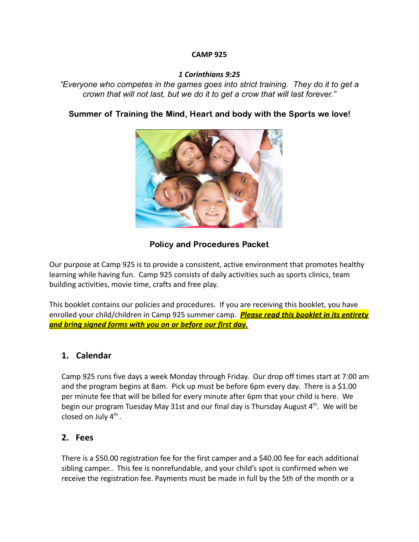#### **CAMP 925**

### *1 Corinthians 9:25*

*"Everyone who competes in the games goes into strict training. They do it to get a crown that will not last, but we do it to get a crow that will last forever."*

### Summer of Training the Mind, Heart and body with the Sports we love!



### Policy and Procedures Packet

Our purpose at Camp 925 is to provide a consistent, active environment that promotes healthy learning while having fun. Camp 925 consists of daily activities such as sports clinics, team building activities, movie time, crafts and free play.

This booklet contains our policies and procedures. If you are receiving this booklet, you have enrolled your child/children in Camp 925 summer camp. *Please read this booklet in its entirety and bring signed forms with you on or before our first day.*

### **1. Calendar**

Camp 925 runs five days a week Monday through Friday. Our drop off times start at 7:00 am and the program begins at 8am. Pick up must be before 6pm every day. There is a \$1.00 per minute fee that will be billed for every minute after 6pm that your child is here. We begin our program Tuesday May 31st and our final day is Thursday August 4<sup>th</sup>. We will be closed on July  $4^{\text{th}}$ .

### **2. Fees**

There is a \$50.00 registration fee for the first camper and a \$40.00 fee for each additional sibling camper.. This fee is nonrefundable, and your child's spot is confirmed when we receive the registration fee. Payments must be made in full by the 5th of the month or a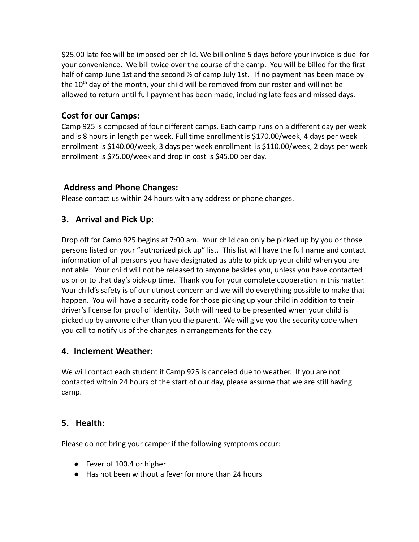\$25.00 late fee will be imposed per child. We bill online 5 days before your invoice is due for your convenience. We bill twice over the course of the camp. You will be billed for the first half of camp June 1st and the second 1/2 of camp July 1st. If no payment has been made by the 10<sup>th</sup> day of the month, your child will be removed from our roster and will not be allowed to return until full payment has been made, including late fees and missed days.

### **Cost for our Camps:**

Camp 925 is composed of four different camps. Each camp runs on a different day per week and is 8 hours in length per week. Full time enrollment is \$170.00/week, 4 days per week enrollment is \$140.00/week, 3 days per week enrollment is \$110.00/week, 2 days per week enrollment is \$75.00/week and drop in cost is \$45.00 per day.

### **Address and Phone Changes:**

Please contact us within 24 hours with any address or phone changes.

# **3. Arrival and Pick Up:**

Drop off for Camp 925 begins at 7:00 am. Your child can only be picked up by you or those persons listed on your "authorized pick up" list. This list will have the full name and contact information of all persons you have designated as able to pick up your child when you are not able. Your child will not be released to anyone besides you, unless you have contacted us prior to that day's pick-up time. Thank you for your complete cooperation in this matter. Your child's safety is of our utmost concern and we will do everything possible to make that happen. You will have a security code for those picking up your child in addition to their driver's license for proof of identity. Both will need to be presented when your child is picked up by anyone other than you the parent. We will give you the security code when you call to notify us of the changes in arrangements for the day.

### **4. Inclement Weather:**

We will contact each student if Camp 925 is canceled due to weather. If you are not contacted within 24 hours of the start of our day, please assume that we are still having camp.

# **5. Health:**

Please do not bring your camper if the following symptoms occur:

- Fever of 100.4 or higher
- Has not been without a fever for more than 24 hours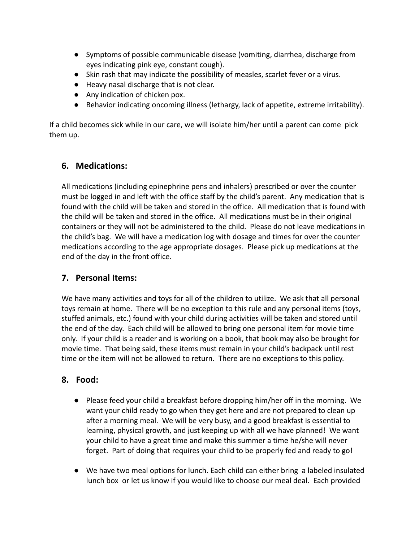- Symptoms of possible communicable disease (vomiting, diarrhea, discharge from eyes indicating pink eye, constant cough).
- Skin rash that may indicate the possibility of measles, scarlet fever or a virus.
- Heavy nasal discharge that is not clear.
- Any indication of chicken pox.
- Behavior indicating oncoming illness (lethargy, lack of appetite, extreme irritability).

If a child becomes sick while in our care, we will isolate him/her until a parent can come pick them up.

### **6. Medications:**

All medications (including epinephrine pens and inhalers) prescribed or over the counter must be logged in and left with the office staff by the child's parent. Any medication that is found with the child will be taken and stored in the office. All medication that is found with the child will be taken and stored in the office. All medications must be in their original containers or they will not be administered to the child. Please do not leave medications in the child's bag. We will have a medication log with dosage and times for over the counter medications according to the age appropriate dosages. Please pick up medications at the end of the day in the front office.

# **7. Personal Items:**

We have many activities and toys for all of the children to utilize. We ask that all personal toys remain at home. There will be no exception to this rule and any personal items (toys, stuffed animals, etc.) found with your child during activities will be taken and stored until the end of the day. Each child will be allowed to bring one personal item for movie time only. If your child is a reader and is working on a book, that book may also be brought for movie time. That being said, these items must remain in your child's backpack until rest time or the item will not be allowed to return. There are no exceptions to this policy.

# **8. Food:**

- Please feed your child a breakfast before dropping him/her off in the morning. We want your child ready to go when they get here and are not prepared to clean up after a morning meal. We will be very busy, and a good breakfast is essential to learning, physical growth, and just keeping up with all we have planned! We want your child to have a great time and make this summer a time he/she will never forget. Part of doing that requires your child to be properly fed and ready to go!
- We have two meal options for lunch. Each child can either bring a labeled insulated lunch box or let us know if you would like to choose our meal deal. Each provided